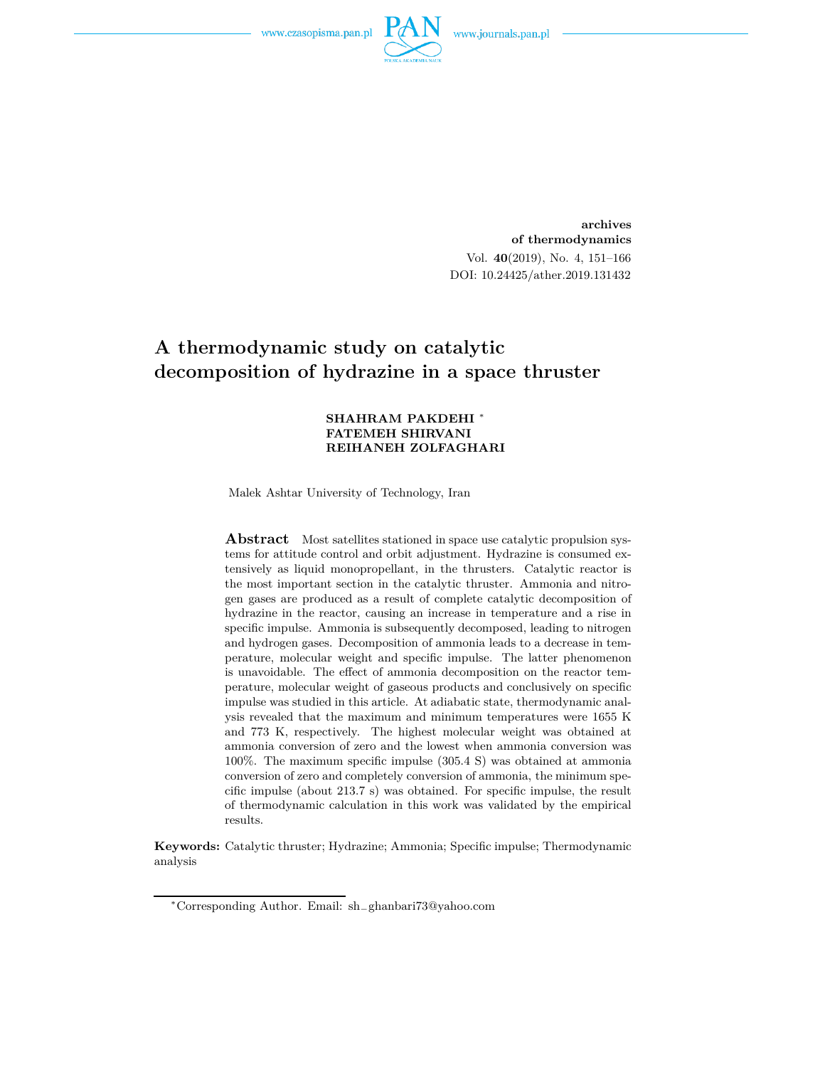

**archives of thermodynamics** Vol. **40**(2019), No. 4, 151–166 DOI: 10.24425/ather.2019.131432

## **A thermodynamic study on catalytic decomposition of hydrazine in a space thruster**

#### **SHAHRAM PAKDEHI** <sup>∗</sup> **FATEMEH SHIRVANI REIHANEH ZOLFAGHARI**

Malek Ashtar University of Technology, Iran

**Abstract** Most satellites stationed in space use catalytic propulsion systems for attitude control and orbit adjustment. Hydrazine is consumed extensively as liquid monopropellant, in the thrusters. Catalytic reactor is the most important section in the catalytic thruster. Ammonia and nitrogen gases are produced as a result of complete catalytic decomposition of hydrazine in the reactor, causing an increase in temperature and a rise in specific impulse. Ammonia is subsequently decomposed, leading to nitrogen and hydrogen gases. Decomposition of ammonia leads to a decrease in temperature, molecular weight and specific impulse. The latter phenomenon is unavoidable. The effect of ammonia decomposition on the reactor temperature, molecular weight of gaseous products and conclusively on specific impulse was studied in this article. At adiabatic state, thermodynamic analysis revealed that the maximum and minimum temperatures were 1655 K and 773 K, respectively. The highest molecular weight was obtained at ammonia conversion of zero and the lowest when ammonia conversion was 100%. The maximum specific impulse (305.4 S) was obtained at ammonia conversion of zero and completely conversion of ammonia, the minimum specific impulse (about 213.7 s) was obtained. For specific impulse, the result of thermodynamic calculation in this work was validated by the empirical results.

**Keywords:** Catalytic thruster; Hydrazine; Ammonia; Specific impulse; Thermodynamic analysis

<sup>∗</sup>Corresponding Author. Email: sh−ghanbari73@yahoo.com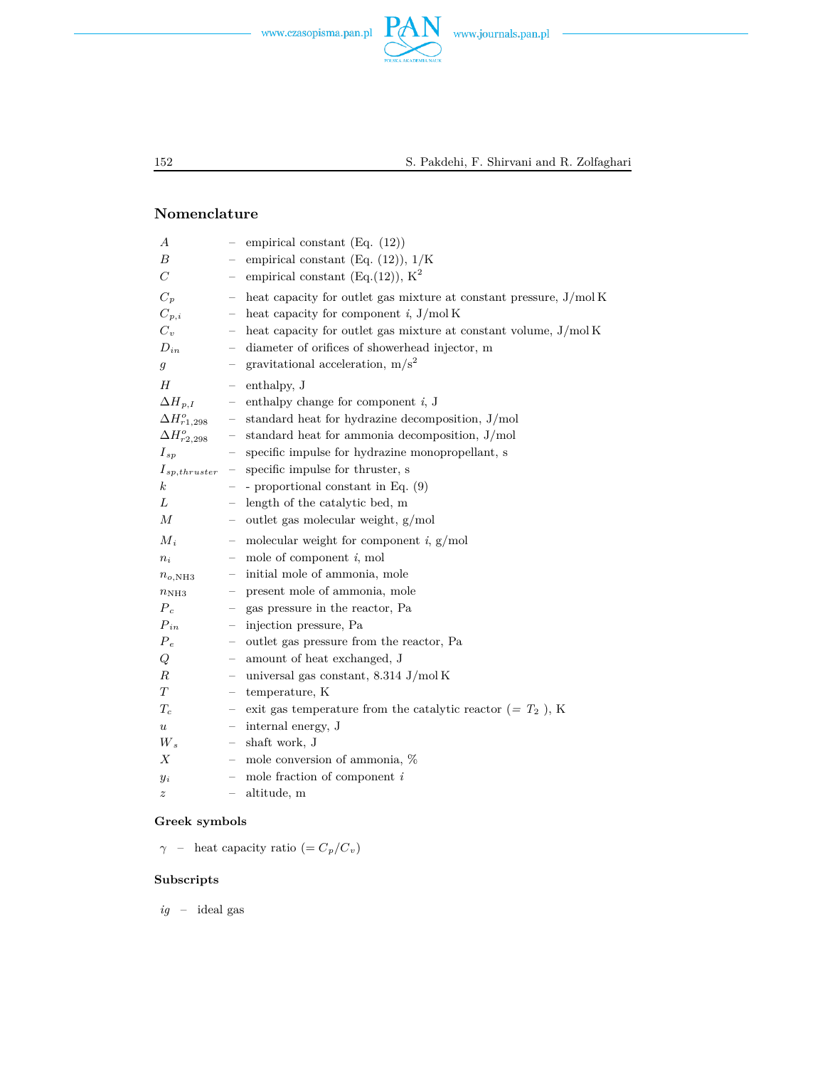



### **Nomenclature**

| А                       |                   | empirical constant $(Eq. (12))$                                   |
|-------------------------|-------------------|-------------------------------------------------------------------|
| В                       |                   | empirical constant (Eq. $(12)$ ), $1/K$                           |
| $\mathcal C$            |                   | empirical constant (Eq. (12)), $K^2$                              |
| $C_p$                   |                   | heat capacity for outlet gas mixture at constant pressure, J/molK |
| $C_{p,i}$               |                   | heat capacity for component $i$ , J/mol K                         |
| $C_v$                   |                   | heat capacity for outlet gas mixture at constant volume, J/mol K  |
| $D_{in}$                |                   | diameter of orifices of showerhead injector, m                    |
| $\mathfrak{g}$          |                   | gravitational acceleration, $m/s^2$                               |
| H                       |                   | enthalpy, J                                                       |
| $\Delta H_{p,I}$        |                   | enthalpy change for component $i$ , J                             |
| $\Delta H^{o}_{r1,298}$ |                   | standard heat for hydrazine decomposition, J/mol                  |
| $\Delta H_{r2,298}^o$   |                   | standard heat for ammonia decomposition, J/mol                    |
| $I_{sp}$                |                   | specific impulse for hydrazine monopropellant, s                  |
| $I_{sp,thruster}$       |                   | specific impulse for thruster, s                                  |
| $\boldsymbol{k}$        |                   | - proportional constant in Eq. $(9)$                              |
| L                       |                   | length of the catalytic bed, m                                    |
| М                       |                   | outlet gas molecular weight, g/mol                                |
| $M_i$                   |                   | molecular weight for component $i$ , $g/mol$                      |
| $n_i$                   | $\qquad \qquad -$ | mole of component $i$ , mol                                       |
| $n_{o,\text{NH3}}$      |                   | initial mole of ammonia, mole                                     |
| $n_{\rm NH3}$           |                   | present mole of ammonia, mole                                     |
| $P_c$                   |                   | gas pressure in the reactor, Pa                                   |
| $P_{in}$                |                   | injection pressure, Pa                                            |
| $P_e$                   |                   | outlet gas pressure from the reactor, Pa                          |
| Q                       |                   | amount of heat exchanged, J                                       |
| $_{R}$                  |                   | universal gas constant, $8.314$ J/mol K                           |
| T                       | -                 | temperature, K                                                    |
| $T_c$                   | $\qquad \qquad -$ | exit gas temperature from the catalytic reactor (= $T_2$ ), K     |
| $\boldsymbol{u}$        | -                 | internal energy, J                                                |
| $W_{s}$                 |                   | shaft work, J                                                     |
| Х                       |                   | mole conversion of ammonia, %                                     |
| $y_i$                   |                   | mole fraction of component $i$                                    |
| $\boldsymbol{z}$        |                   | altitude, m                                                       |
|                         |                   |                                                                   |

### **Greek symbols**

*γ* – heat capacity ratio (=  $C_p/C_v$ )

### **Subscripts**

 $ig\hspace{1em}$  –  $\hspace{1em}$  ideal gas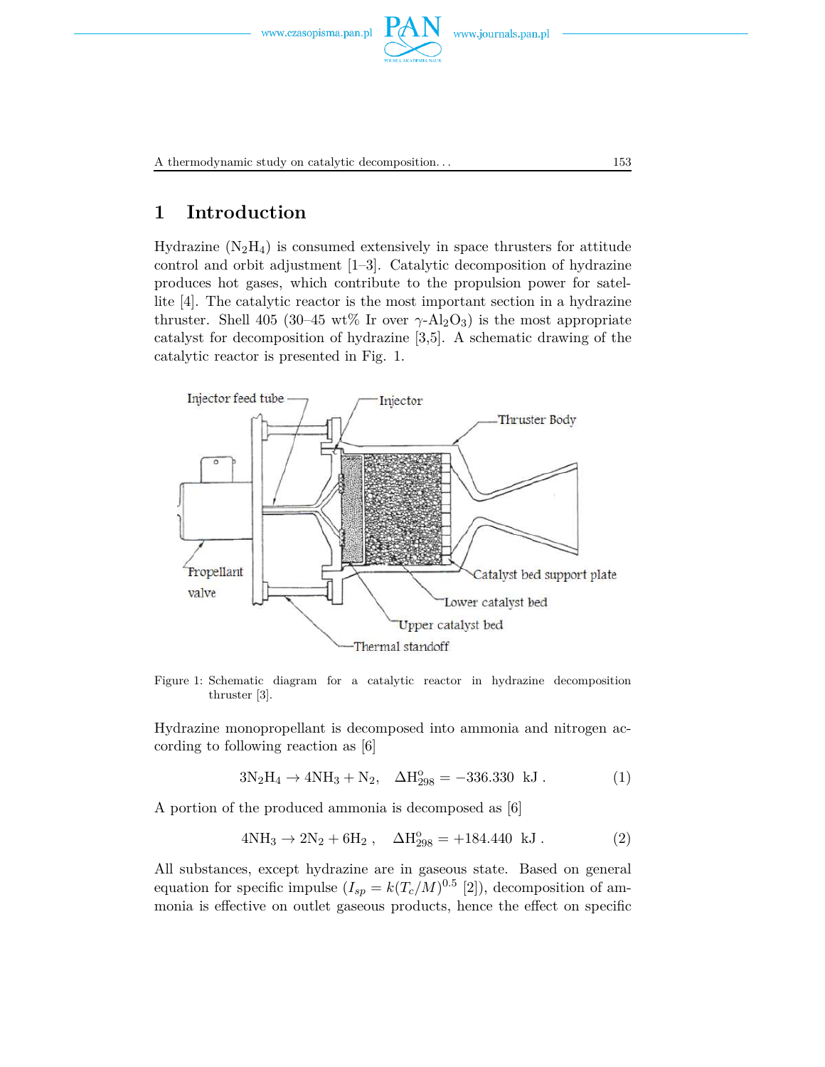

A thermodynamic study on catalytic decomposition. . . 153

# **1 Introduction**

Hydrazine  $(N_2H_4)$  is consumed extensively in space thrusters for attitude control and orbit adjustment [1–3]. Catalytic decomposition of hydrazine produces hot gases, which contribute to the propulsion power for satellite [4]. The catalytic reactor is the most important section in a hydrazine thruster. Shell 405 (30–45 wt% Ir over  $\gamma$ -Al<sub>2</sub>O<sub>3</sub>) is the most appropriate catalyst for decomposition of hydrazine [3,5]. A schematic drawing of the catalytic reactor is presented in Fig. 1.



Figure 1: Schematic diagram for a catalytic reactor in hydrazine decomposition thruster [3].

Hydrazine monopropellant is decomposed into ammonia and nitrogen according to following reaction as [6]

$$
3N_2H_4 \to 4NH_3 + N_2, \quad \Delta H_{298}^o = -336.330 \text{ kJ}.
$$
 (1)

A portion of the produced ammonia is decomposed as [6]

$$
4NH_3 \to 2N_2 + 6H_2 , \quad \Delta H_{298}^o = +184.440 \text{ kJ} . \tag{2}
$$

All substances, except hydrazine are in gaseous state. Based on general equation for specific impulse  $(I_{sp} = k(T_c/M)^{0.5}$  [2]), decomposition of ammonia is effective on outlet gaseous products, hence the effect on specific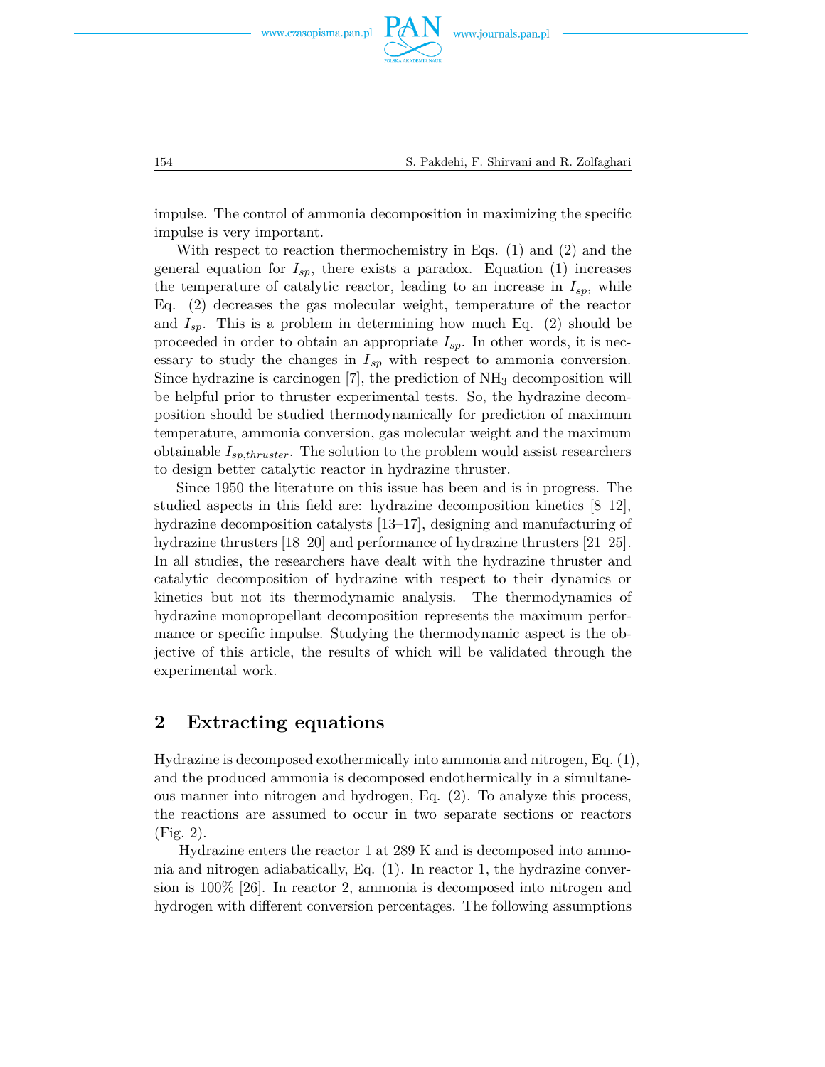

impulse. The control of ammonia decomposition in maximizing the specific impulse is very important.

With respect to reaction thermochemistry in Eqs. (1) and (2) and the general equation for  $I_{sp}$ , there exists a paradox. Equation  $(1)$  increases the temperature of catalytic reactor, leading to an increase in  $I_{sp}$ , while Eq. (2) decreases the gas molecular weight, temperature of the reactor and  $I_{sp}$ . This is a problem in determining how much Eq.  $(2)$  should be proceeded in order to obtain an appropriate *Isp*. In other words, it is necessary to study the changes in *Isp* with respect to ammonia conversion. Since hydrazine is carcinogen  $[7]$ , the prediction of  $NH<sub>3</sub>$  decomposition will be helpful prior to thruster experimental tests. So, the hydrazine decomposition should be studied thermodynamically for prediction of maximum temperature, ammonia conversion, gas molecular weight and the maximum obtainable *Isp,thruster*. The solution to the problem would assist researchers to design better catalytic reactor in hydrazine thruster.

Since 1950 the literature on this issue has been and is in progress. The studied aspects in this field are: hydrazine decomposition kinetics [8–12], hydrazine decomposition catalysts [13–17], designing and manufacturing of hydrazine thrusters [18–20] and performance of hydrazine thrusters [21–25]. In all studies, the researchers have dealt with the hydrazine thruster and catalytic decomposition of hydrazine with respect to their dynamics or kinetics but not its thermodynamic analysis. The thermodynamics of hydrazine monopropellant decomposition represents the maximum performance or specific impulse. Studying the thermodynamic aspect is the objective of this article, the results of which will be validated through the experimental work.

## **2 Extracting equations**

Hydrazine is decomposed exothermically into ammonia and nitrogen, Eq. (1), and the produced ammonia is decomposed endothermically in a simultaneous manner into nitrogen and hydrogen, Eq. (2). To analyze this process, the reactions are assumed to occur in two separate sections or reactors (Fig. 2).

Hydrazine enters the reactor 1 at 289 K and is decomposed into ammonia and nitrogen adiabatically, Eq. (1). In reactor 1, the hydrazine conversion is 100% [26]. In reactor 2, ammonia is decomposed into nitrogen and hydrogen with different conversion percentages. The following assumptions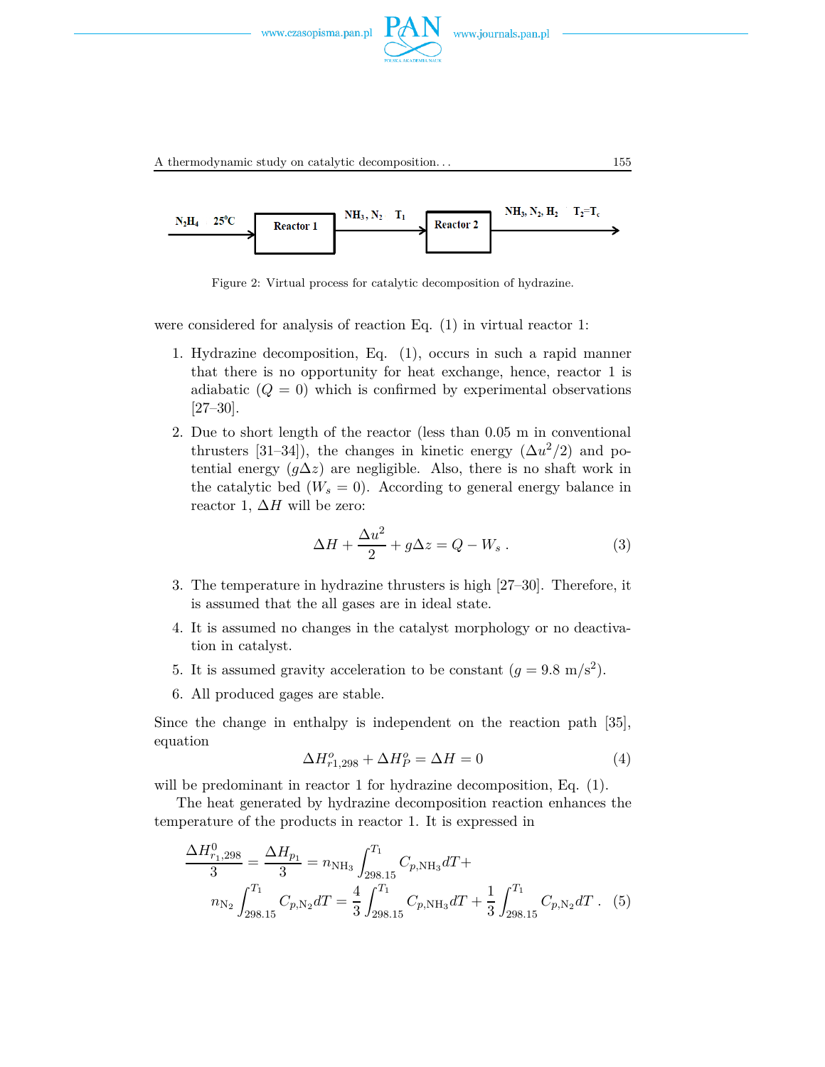

A thermodynamic study on catalytic decomposition. . . 155



Figure 2: Virtual process for catalytic decomposition of hydrazine.

were considered for analysis of reaction Eq. (1) in virtual reactor 1:

- 1. Hydrazine decomposition, Eq. (1), occurs in such a rapid manner that there is no opportunity for heat exchange, hence, reactor 1 is adiabatic  $(Q = 0)$  which is confirmed by experimental observations [27–30].
- 2. Due to short length of the reactor (less than 0.05 m in conventional thrusters [31–34]), the changes in kinetic energy  $(\Delta u^2/2)$  and potential energy  $(g\Delta z)$  are negligible. Also, there is no shaft work in the catalytic bed  $(W_s = 0)$ . According to general energy balance in reactor 1,  $\Delta H$  will be zero:

$$
\Delta H + \frac{\Delta u^2}{2} + g\Delta z = Q - W_s \,. \tag{3}
$$

- 3. The temperature in hydrazine thrusters is high [27–30]. Therefore, it is assumed that the all gases are in ideal state.
- 4. It is assumed no changes in the catalyst morphology or no deactivation in catalyst.
- 5. It is assumed gravity acceleration to be constant  $(g = 9.8 \text{ m/s}^2)$ .
- 6. All produced gages are stable.

Since the change in enthalpy is independent on the reaction path [35], equation

$$
\Delta H_{r1,298}^o + \Delta H_P^o = \Delta H = 0\tag{4}
$$

will be predominant in reactor 1 for hydrazine decomposition, Eq. (1).

The heat generated by hydrazine decomposition reaction enhances the temperature of the products in reactor 1. It is expressed in

$$
\frac{\Delta H_{r_1,298}^0}{3} = \frac{\Delta H_{p_1}}{3} = n_{\text{NH}_3} \int_{298.15}^{T_1} C_{p,\text{NH}_3} dT + n_{\text{N}_2} \int_{298.15}^{T_1} C_{p,\text{NH}_3} dT = \frac{4}{3} \int_{298.15}^{T_1} C_{p,\text{NH}_3} dT + \frac{1}{3} \int_{298.15}^{T_1} C_{p,\text{N}_2} dT
$$
 (5)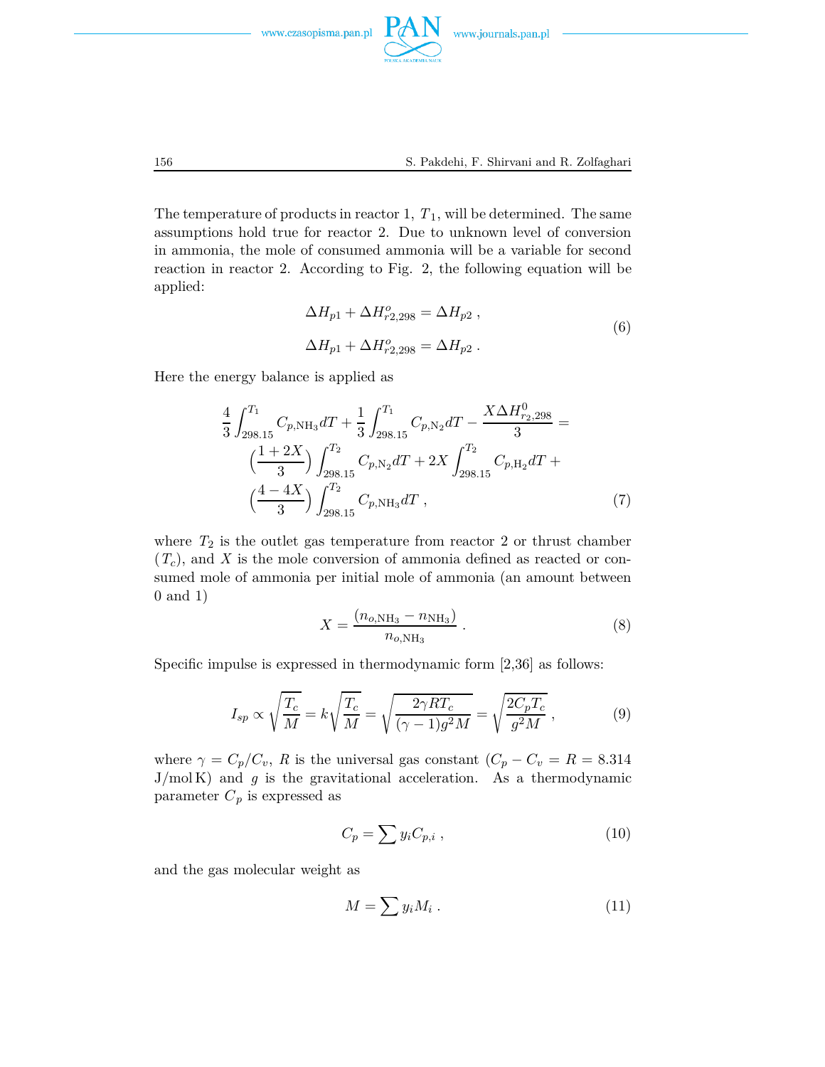

The temperature of products in reactor 1,  $T_1$ , will be determined. The same assumptions hold true for reactor 2. Due to unknown level of conversion in ammonia, the mole of consumed ammonia will be a variable for second reaction in reactor 2. According to Fig. 2, the following equation will be applied:

$$
\Delta H_{p1} + \Delta H_{r2,298}^o = \Delta H_{p2} ,
$$
  
\n
$$
\Delta H_{p1} + \Delta H_{r2,298}^o = \Delta H_{p2} .
$$
\n(6)

Here the energy balance is applied as

$$
\frac{4}{3} \int_{298.15}^{T_1} C_{p,\text{NH}_3} dT + \frac{1}{3} \int_{298.15}^{T_1} C_{p,\text{N}_2} dT - \frac{X \Delta H_{r_2,298}^0}{3} =
$$
\n
$$
\left(\frac{1+2X}{3}\right) \int_{298.15}^{T_2} C_{p,\text{N}_2} dT + 2X \int_{298.15}^{T_2} C_{p,\text{H}_2} dT + \left(\frac{4-4X}{3}\right) \int_{298.15}^{T_2} C_{p,\text{NH}_3} dT ,\tag{7}
$$

where  $T_2$  is the outlet gas temperature from reactor 2 or thrust chamber (*Tc*), and *X* is the mole conversion of ammonia defined as reacted or consumed mole of ammonia per initial mole of ammonia (an amount between 0 and 1)

$$
X = \frac{(n_{o,\text{NH}_3} - n_{\text{NH}_3})}{n_{o,\text{NH}_3}}.
$$
 (8)

Specific impulse is expressed in thermodynamic form [2,36] as follows:

$$
I_{sp} \propto \sqrt{\frac{T_c}{M}} = k \sqrt{\frac{T_c}{M}} = \sqrt{\frac{2 \gamma RT_c}{(\gamma - 1)g^2 M}} = \sqrt{\frac{2C_p T_c}{g^2 M}}, \qquad (9)
$$

where  $\gamma = C_p/C_v$ , *R* is the universal gas constant  $(C_p - C_v = R = 8.314$  $J/mol K$ ) and  $g$  is the gravitational acceleration. As a thermodynamic parameter  $C_p$  is expressed as

$$
C_p = \sum y_i C_{p,i} \tag{10}
$$

and the gas molecular weight as

$$
M = \sum y_i M_i \tag{11}
$$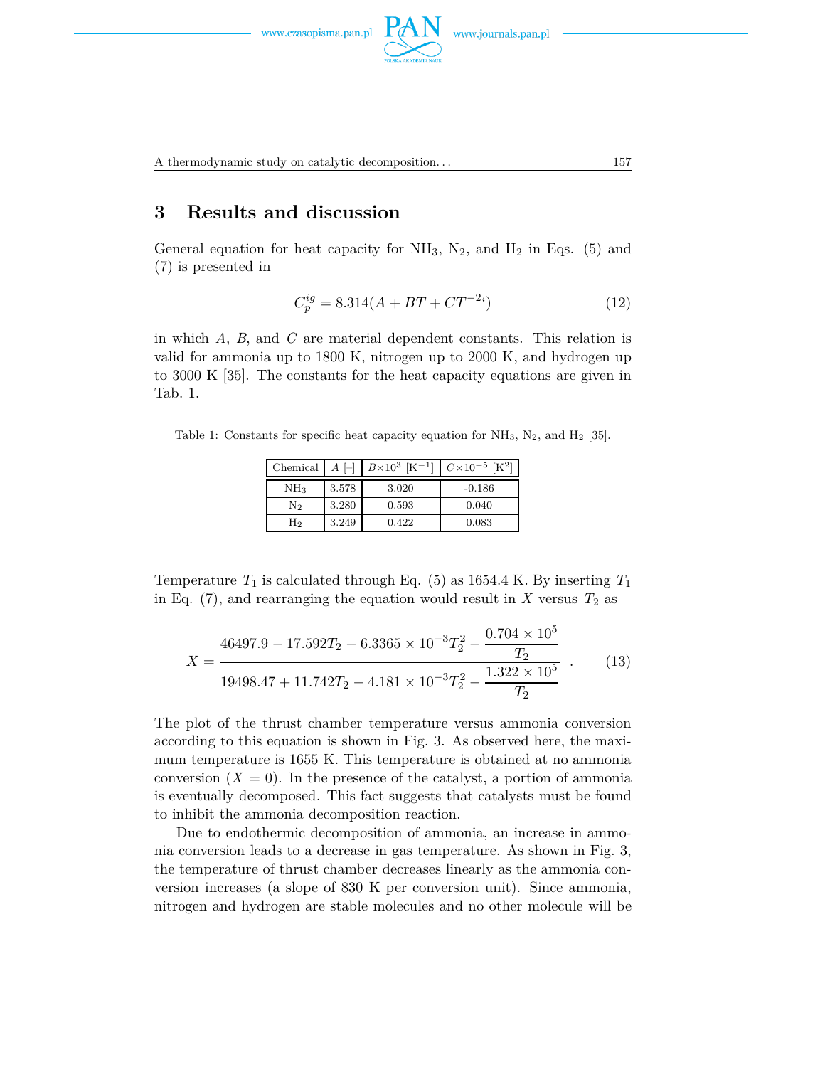

A thermodynamic study on catalytic decomposition. . . 157

## **3 Results and discussion**

General equation for heat capacity for  $NH_3$ ,  $N_2$ , and  $H_2$  in Eqs. (5) and (7) is presented in

$$
C_p^{ig} = 8.314(A + BT + CT^{-2})\tag{12}
$$

in which *A*, *B*, and *C* are material dependent constants. This relation is valid for ammonia up to 1800 K, nitrogen up to 2000 K, and hydrogen up to 3000 K [35]. The constants for the heat capacity equations are given in Tab. 1.

Table 1: Constants for specific heat capacity equation for  $NH_3$ ,  $N_2$ , and  $H_2$  [35].

| Chemical        | $A \vdash$ | $B \times 10^3$ [K <sup>-1</sup> ] | $C \times 10^{-5}$ [K <sup>2</sup> ] |
|-----------------|------------|------------------------------------|--------------------------------------|
| NH <sub>3</sub> | 3.578      | 3.020                              | $-0.186$                             |
| N2              | 3.280      | 0.593                              | 0.040                                |
| H2              | 3.249      | 0.422                              | 0.083                                |

Temperature  $T_1$  is calculated through Eq. (5) as 1654.4 K. By inserting  $T_1$ in Eq.  $(7)$ , and rearranging the equation would result in *X* versus  $T_2$  as

$$
X = \frac{46497.9 - 17.592T_2 - 6.3365 \times 10^{-3} T_2^2 - \frac{0.704 \times 10^5}{T_2}}{19498.47 + 11.742T_2 - 4.181 \times 10^{-3} T_2^2 - \frac{1.322 \times 10^5}{T_2}} \tag{13}
$$

The plot of the thrust chamber temperature versus ammonia conversion according to this equation is shown in Fig. 3. As observed here, the maximum temperature is 1655 K. This temperature is obtained at no ammonia conversion  $(X = 0)$ . In the presence of the catalyst, a portion of ammonia is eventually decomposed. This fact suggests that catalysts must be found to inhibit the ammonia decomposition reaction.

Due to endothermic decomposition of ammonia, an increase in ammonia conversion leads to a decrease in gas temperature. As shown in Fig. 3, the temperature of thrust chamber decreases linearly as the ammonia conversion increases (a slope of 830 K per conversion unit). Since ammonia, nitrogen and hydrogen are stable molecules and no other molecule will be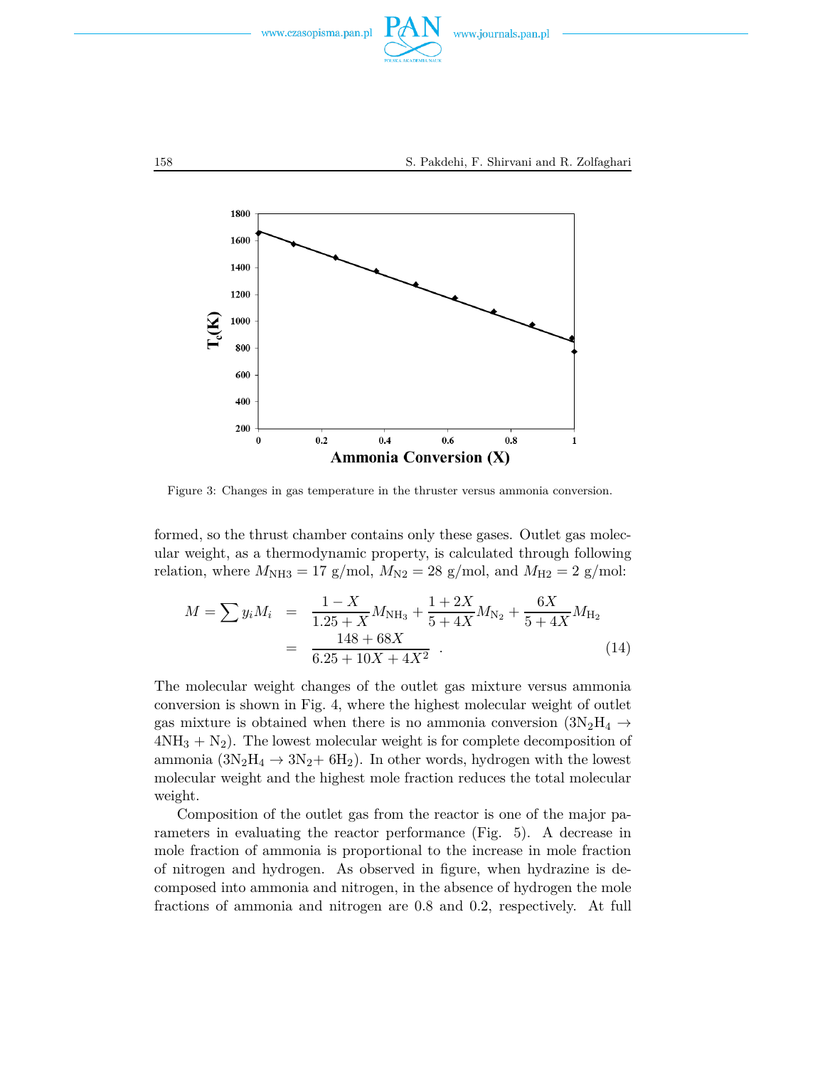



Figure 3: Changes in gas temperature in the thruster versus ammonia conversion.

formed, so the thrust chamber contains only these gases. Outlet gas molecular weight, as a thermodynamic property, is calculated through following relation, where  $M_{\text{NH3}} = 17$  g/mol,  $M_{\text{N2}} = 28$  g/mol, and  $M_{\text{H2}} = 2$  g/mol:

$$
M = \sum y_i M_i = \frac{1 - X}{1.25 + X} M_{\text{NH}_3} + \frac{1 + 2X}{5 + 4X} M_{\text{N}_2} + \frac{6X}{5 + 4X} M_{\text{H}_2}
$$
  
= 
$$
\frac{148 + 68X}{6.25 + 10X + 4X^2} .
$$
 (14)

The molecular weight changes of the outlet gas mixture versus ammonia conversion is shown in Fig. 4, where the highest molecular weight of outlet gas mixture is obtained when there is no ammonia conversion  $(3N_2H_4 \rightarrow$  $4NH<sub>3</sub> + N<sub>2</sub>$ ). The lowest molecular weight is for complete decomposition of ammonia  $(3N_2H_4 \rightarrow 3N_2 + 6H_2)$ . In other words, hydrogen with the lowest molecular weight and the highest mole fraction reduces the total molecular weight.

Composition of the outlet gas from the reactor is one of the major parameters in evaluating the reactor performance (Fig. 5). A decrease in mole fraction of ammonia is proportional to the increase in mole fraction of nitrogen and hydrogen. As observed in figure, when hydrazine is decomposed into ammonia and nitrogen, in the absence of hydrogen the mole fractions of ammonia and nitrogen are 0.8 and 0.2, respectively. At full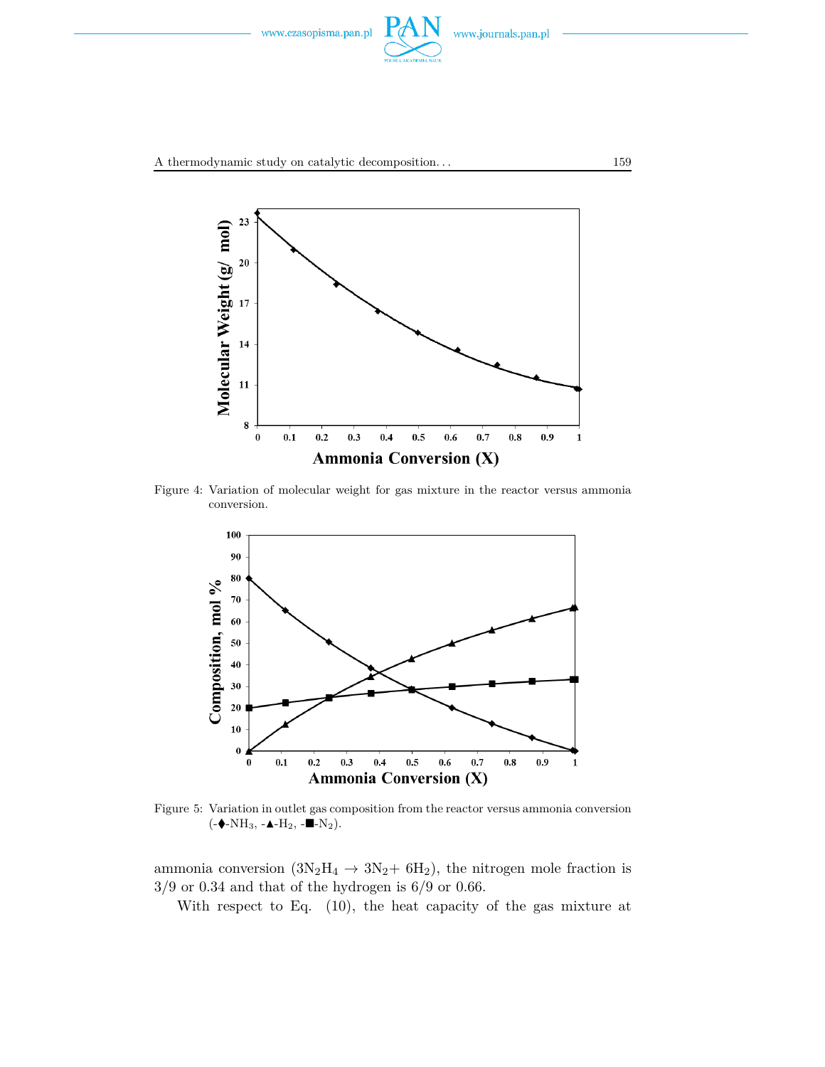



Figure 4: Variation of molecular weight for gas mixture in the reactor versus ammonia conversion.



Figure 5: Variation in outlet gas composition from the reactor versus ammonia conversion  $(-\bullet-NH_3, -\bullet-H_2, -\bullet-N_2).$ 

ammonia conversion  $(3N_2H_4 \rightarrow 3N_2+ 6H_2)$ , the nitrogen mole fraction is  $3/9$  or 0.34 and that of the hydrogen is  $6/9$  or 0.66.

With respect to Eq. (10), the heat capacity of the gas mixture at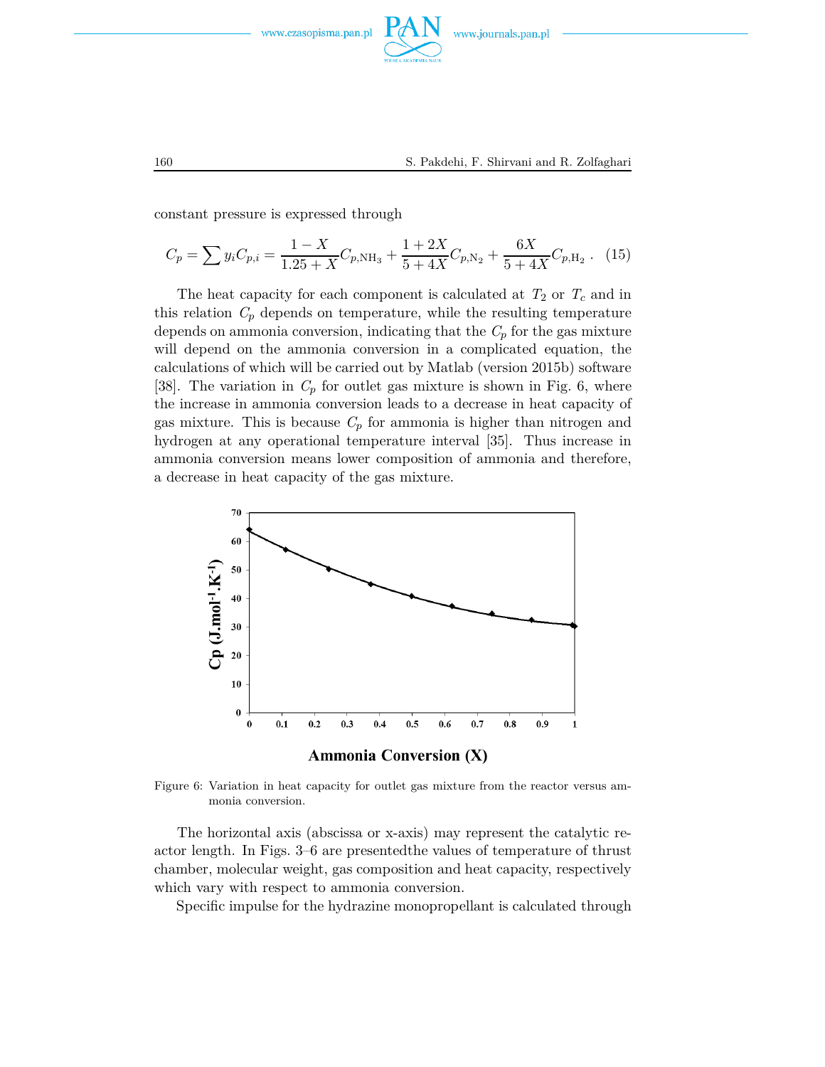

constant pressure is expressed through

$$
C_p = \sum y_i C_{p,i} = \frac{1 - X}{1.25 + X} C_{p, \text{NH}_3} + \frac{1 + 2X}{5 + 4X} C_{p, \text{N}_2} + \frac{6X}{5 + 4X} C_{p, \text{H}_2} \tag{15}
$$

The heat capacity for each component is calculated at  $T_2$  or  $T_c$  and in this relation  $C_p$  depends on temperature, while the resulting temperature depends on ammonia conversion, indicating that the  $C_p$  for the gas mixture will depend on the ammonia conversion in a complicated equation, the calculations of which will be carried out by Matlab (version 2015b) software [38]. The variation in  $C_p$  for outlet gas mixture is shown in Fig. 6, where the increase in ammonia conversion leads to a decrease in heat capacity of gas mixture. This is because  $C_p$  for ammonia is higher than nitrogen and hydrogen at any operational temperature interval [35]. Thus increase in ammonia conversion means lower composition of ammonia and therefore, a decrease in heat capacity of the gas mixture.



Figure 6: Variation in heat capacity for outlet gas mixture from the reactor versus ammonia conversion.

The horizontal axis (abscissa or x-axis) may represent the catalytic reactor length. In Figs. 3–6 are presentedthe values of temperature of thrust chamber, molecular weight, gas composition and heat capacity, respectively which vary with respect to ammonia conversion.

Specific impulse for the hydrazine monopropellant is calculated through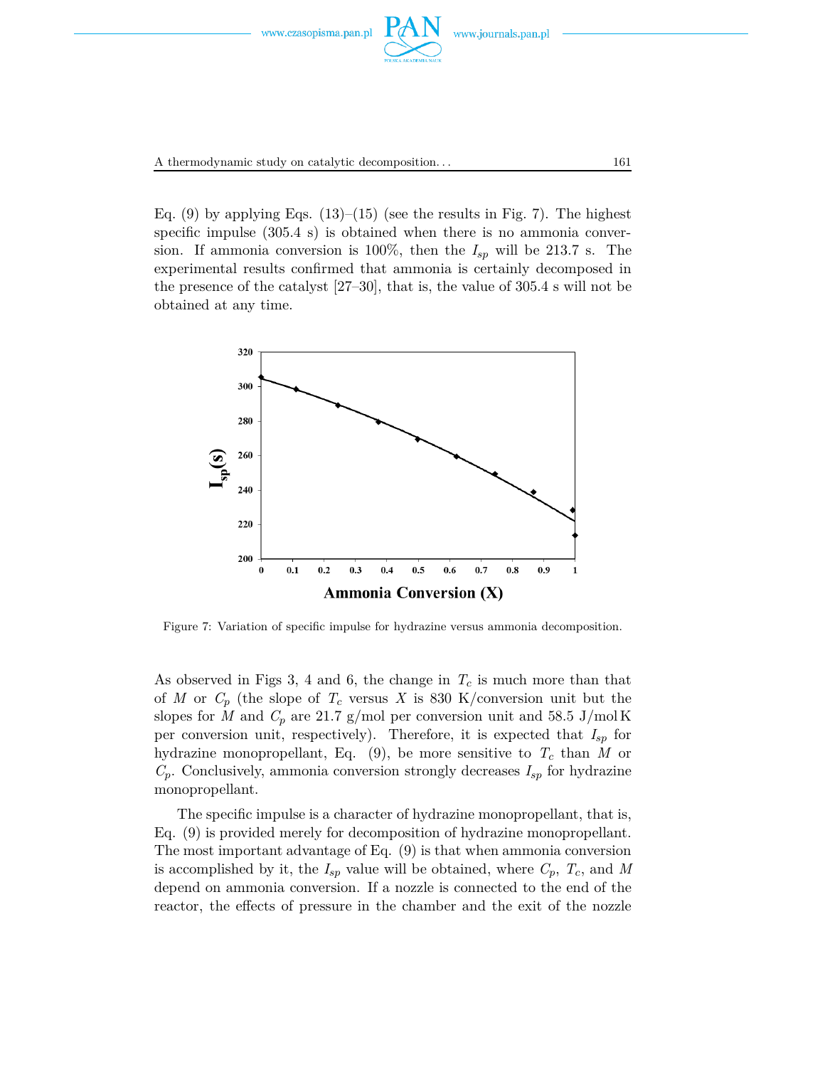

Eq.  $(9)$  by applying Eqs.  $(13)$ – $(15)$  (see the results in Fig. 7). The highest specific impulse (305.4 s) is obtained when there is no ammonia conversion. If ammonia conversion is 100%, then the  $I_{sp}$  will be 213.7 s. The experimental results confirmed that ammonia is certainly decomposed in the presence of the catalyst [27–30], that is, the value of 305.4 s will not be obtained at any time.



Figure 7: Variation of specific impulse for hydrazine versus ammonia decomposition.

As observed in Figs 3, 4 and 6, the change in  $T_c$  is much more than that of *M* or  $C_p$  (the slope of  $T_c$  versus *X* is 830 K/conversion unit but the slopes for *M* and  $C_p$  are 21.7 g/mol per conversion unit and 58.5 J/mol K per conversion unit, respectively). Therefore, it is expected that *Isp* for hydrazine monopropellant, Eq.  $(9)$ , be more sensitive to  $T_c$  than M or  $C_p$ . Conclusively, ammonia conversion strongly decreases  $I_{sp}$  for hydrazine monopropellant.

The specific impulse is a character of hydrazine monopropellant, that is, Eq. (9) is provided merely for decomposition of hydrazine monopropellant. The most important advantage of Eq. (9) is that when ammonia conversion is accomplished by it, the  $I_{sp}$  value will be obtained, where  $C_p$ ,  $T_c$ , and M depend on ammonia conversion. If a nozzle is connected to the end of the reactor, the effects of pressure in the chamber and the exit of the nozzle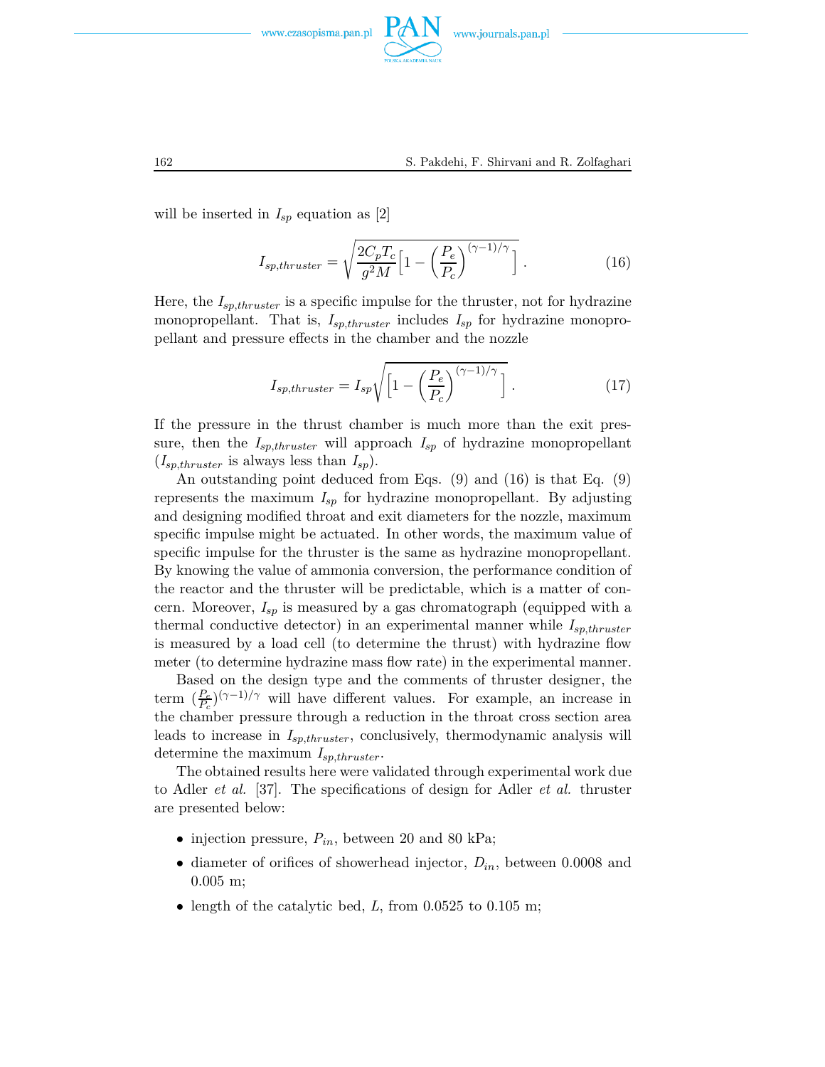

will be inserted in  $I_{sp}$  equation as [2]

$$
I_{sp,thruster} = \sqrt{\frac{2C_pT_c}{g^2M}} \left[ 1 - \left(\frac{P_e}{P_c}\right)^{(\gamma - 1)/\gamma} \right].
$$
 (16)

Here, the *Isp,thruster* is a specific impulse for the thruster, not for hydrazine monopropellant. That is,  $I_{sp,thruster}$  includes  $I_{sp}$  for hydrazine monopropellant and pressure effects in the chamber and the nozzle

$$
I_{sp,thruster} = I_{sp} \sqrt{\left[1 - \left(\frac{P_e}{P_c}\right)^{(\gamma - 1)/\gamma}\right]} \ . \tag{17}
$$

If the pressure in the thrust chamber is much more than the exit pressure, then the  $I_{sp,thruster}$  will approach  $I_{sp}$  of hydrazine monopropellant  $(I_{sp,thruster}$  is always less than  $I_{sp}$ ).

An outstanding point deduced from Eqs. (9) and (16) is that Eq. (9) represents the maximum *Isp* for hydrazine monopropellant. By adjusting and designing modified throat and exit diameters for the nozzle, maximum specific impulse might be actuated. In other words, the maximum value of specific impulse for the thruster is the same as hydrazine monopropellant. By knowing the value of ammonia conversion, the performance condition of the reactor and the thruster will be predictable, which is a matter of concern. Moreover, *Isp* is measured by a gas chromatograph (equipped with a thermal conductive detector) in an experimental manner while *Isp,thruster* is measured by a load cell (to determine the thrust) with hydrazine flow meter (to determine hydrazine mass flow rate) in the experimental manner.

Based on the design type and the comments of thruster designer, the term  $\left(\frac{P_e}{P_c}\right)^{(\gamma-1)/\gamma}$  will have different values. For example, an increase in the chamber pressure through a reduction in the throat cross section area leads to increase in *Isp,thruster*, conclusively, thermodynamic analysis will determine the maximum *Isp,thruster*.

The obtained results here were validated through experimental work due to Adler *et al.* [37]. The specifications of design for Adler *et al.* thruster are presented below:

- injection pressure, *Pin*, between 20 and 80 kPa;
- diameter of orifices of showerhead injector, *Din*, between 0.0008 and 0.005 m;
- length of the catalytic bed, *L*, from 0.0525 to 0.105 m;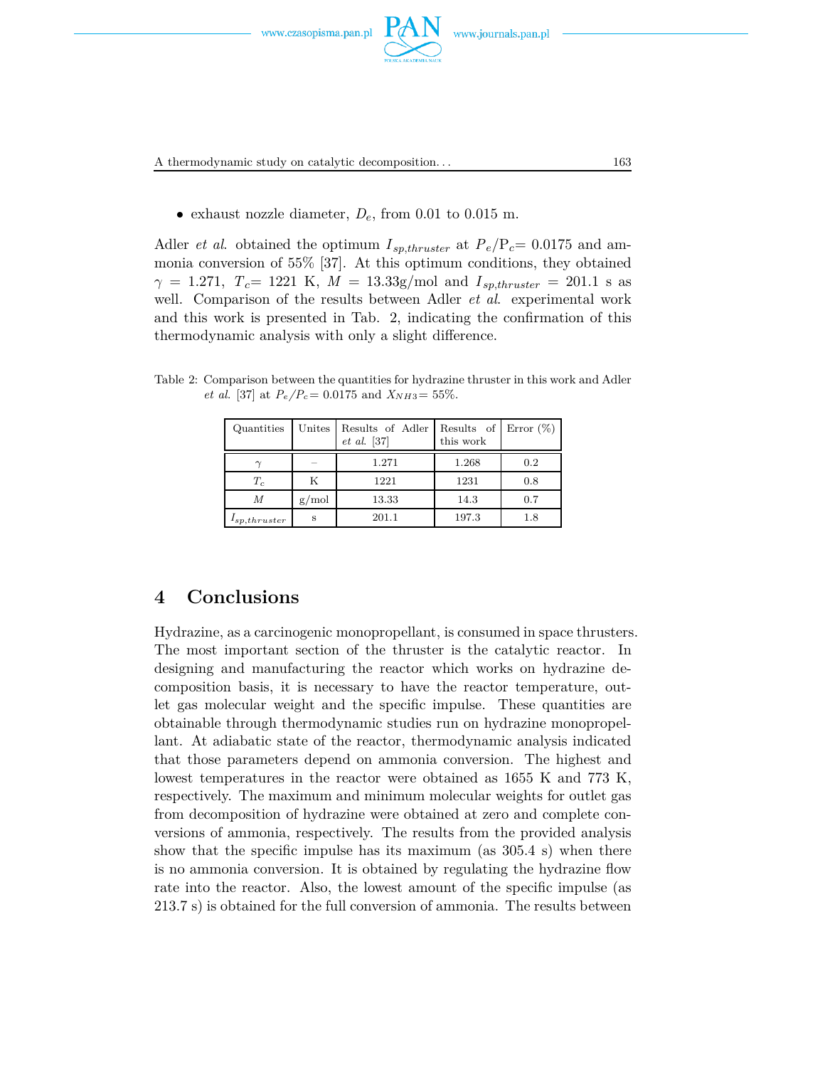



A thermodynamic study on catalytic decomposition. . . 163

• exhaust nozzle diameter,  $D_e$ , from 0.01 to 0.015 m.

Adler *et al.* obtained the optimum  $I_{\textit{sp,thruster}}$  at  $P_e/P_c = 0.0175$  and ammonia conversion of 55% [37]. At this optimum conditions, they obtained *γ* = 1.271, *T<sub>c</sub>*= 1221 K, *M* = 13.33g/mol and  $I_{\textit{sp,thruster}}$  = 201.1 s as well. Comparison of the results between Adler *et al*. experimental work and this work is presented in Tab. 2, indicating the confirmation of this thermodynamic analysis with only a slight difference.

Table 2: Comparison between the quantities for hydrazine thruster in this work and Adler *et al.* [37] at  $P_e/P_c = 0.0175$  and  $X_{NH3} = 55\%$ .

| Quantities        | Unites | Results of Adler<br>$et \ al. \ [37]$ | Results of<br>this work | Error $(\%)$ |
|-------------------|--------|---------------------------------------|-------------------------|--------------|
|                   |        | 1.271                                 | 1.268                   | 0.2          |
| $T_c$             | K      | 1221                                  | 1231                    | 0.8          |
| М                 | g/mol  | 13.33                                 | 14.3                    | 0.7          |
| $I_{sp,thruster}$ | S      | 201.1                                 | 197.3                   | 1.8          |

## **4 Conclusions**

Hydrazine, as a carcinogenic monopropellant, is consumed in space thrusters. The most important section of the thruster is the catalytic reactor. In designing and manufacturing the reactor which works on hydrazine decomposition basis, it is necessary to have the reactor temperature, outlet gas molecular weight and the specific impulse. These quantities are obtainable through thermodynamic studies run on hydrazine monopropellant. At adiabatic state of the reactor, thermodynamic analysis indicated that those parameters depend on ammonia conversion. The highest and lowest temperatures in the reactor were obtained as 1655 K and 773 K, respectively. The maximum and minimum molecular weights for outlet gas from decomposition of hydrazine were obtained at zero and complete conversions of ammonia, respectively. The results from the provided analysis show that the specific impulse has its maximum (as 305.4 s) when there is no ammonia conversion. It is obtained by regulating the hydrazine flow rate into the reactor. Also, the lowest amount of the specific impulse (as 213.7 s) is obtained for the full conversion of ammonia. The results between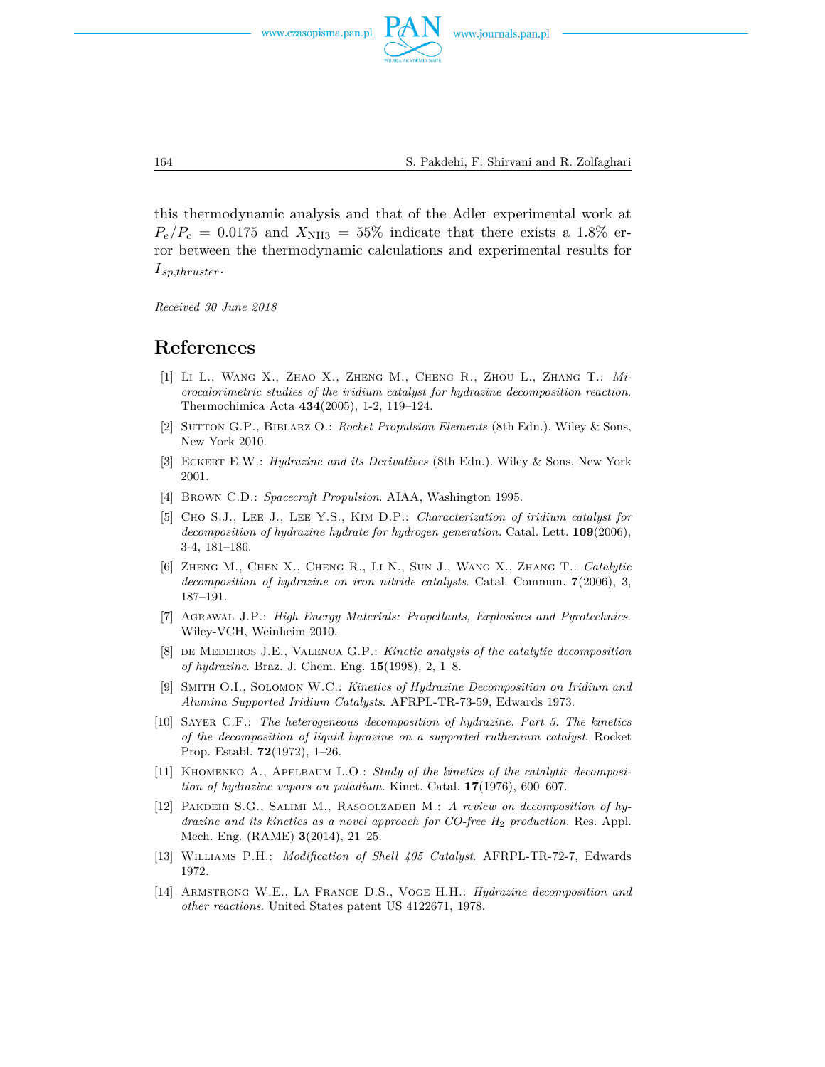

this thermodynamic analysis and that of the Adler experimental work at  $P_e/P_c = 0.0175$  and  $X_{\text{NH3}} = 55\%$  indicate that there exists a 1.8% error between the thermodynamic calculations and experimental results for *I sp,thruster*.

*Received 30 June 2018*

## **References**

- [1] Li L., Wang X., Zhao X., Zheng M., Cheng R., Zhou L., Zhang T.: *Microcalorimetric studies of the iridium catalyst for hydrazine decomposition reaction*. Thermochimica Acta **434**(2005), 1-2, 119–124.
- [2] Sutton G.P., Biblarz O.: *Rocket Propulsion Elements* (8th Edn.). Wiley & Sons, New York 2010.
- [3] Eckert E.W.: *Hydrazine and its Derivatives* (8th Edn.). Wiley & Sons, New York 2001.
- [4] Brown C.D.: *Spacecraft Propulsion*. AIAA, Washington 1995.
- [5] Cho S.J., Lee J., Lee Y.S., Kim D.P.: *Characterization of iridium catalyst for decomposition of hydrazine hydrate for hydrogen generation.* Catal. Lett. **109**(2006), 3-4, 181–186.
- [6] Zheng M., Chen X., Cheng R., Li N., Sun J., Wang X., Zhang T.: *Catalytic decomposition of hydrazine on iron nitride catalysts*. Catal. Commun. **7**(2006), 3, 187–191.
- [7] Agrawal J.P.: *High Energy Materials: Propellants, Explosives and Pyrotechnics*. Wiley-VCH, Weinheim 2010.
- [8] de Medeiros J.E., Valenca G.P.: *Kinetic analysis of the catalytic decomposition of hydrazine*. Braz. J. Chem. Eng. **15**(1998), 2, 1–8.
- [9] Smith O.I., Solomon W.C.: *Kinetics of Hydrazine Decomposition on Iridium and Alumina Supported Iridium Catalysts*. AFRPL-TR-73-59, Edwards 1973.
- [10] Sayer C.F.: *The heterogeneous decomposition of hydrazine. Part 5. The kinetics of the decomposition of liquid hyrazine on a supported ruthenium catalyst*. Rocket Prop. Establ. **72**(1972), 1–26.
- [11] Khomenko A., Apelbaum L.O.: *Study of the kinetics of the catalytic decomposition of hydrazine vapors on paladium*. Kinet. Catal. **17**(1976), 600–607.
- [12] Pakdehi S.G., Salimi M., Rasoolzadeh M.: *A review on decomposition of hydrazine and its kinetics as a novel approach for CO-free H*<sup>2</sup> *production.* Res. Appl. Mech. Eng. (RAME) **3**(2014), 21–25.
- [13] Williams P.H.: *Modification of Shell 405 Catalyst*. AFRPL-TR-72-7, Edwards 1972.
- [14] Armstrong W.E., La France D.S., Voge H.H.: *Hydrazine decomposition and other reactions*. United States patent US 4122671, 1978.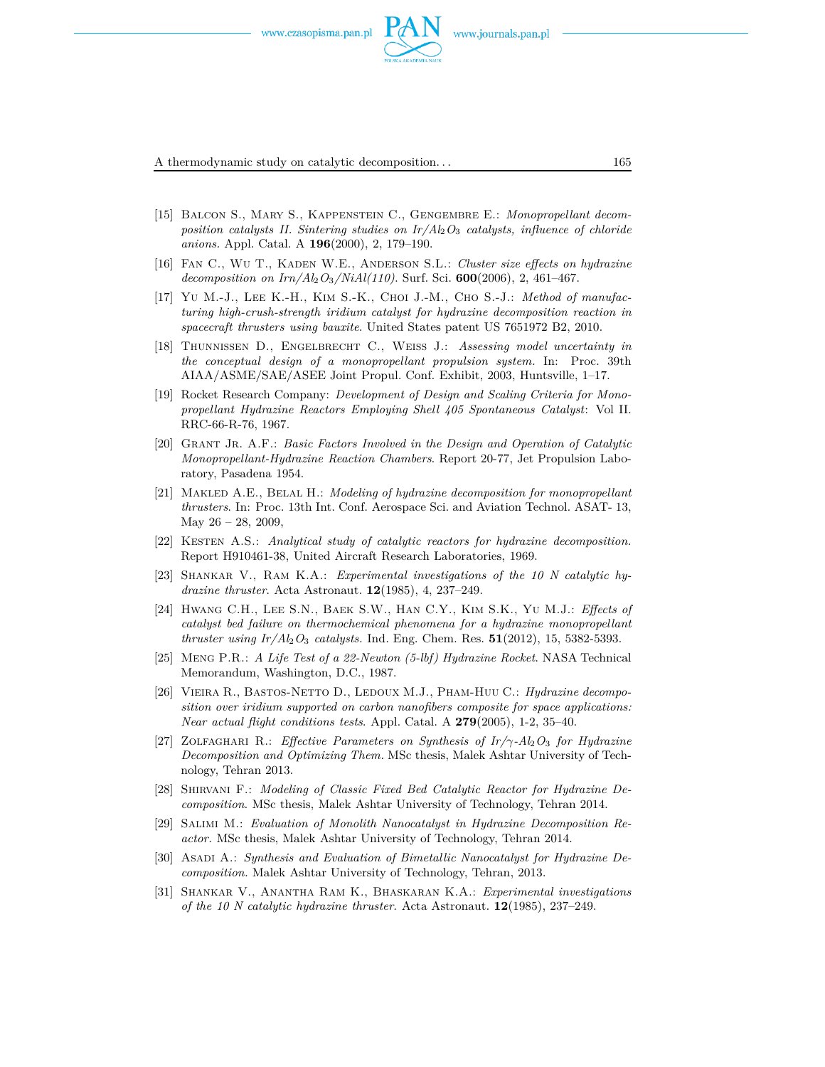

A thermodynamic study on catalytic decomposition. . . 165

- [15] Balcon S., Mary S., Kappenstein C., Gengembre E.: *Monopropellant decomposition catalysts II. Sintering studies on Ir/Al*2*O*<sup>3</sup> *catalysts, influence of chloride anions.* Appl. Catal. A **196**(2000), 2, 179–190.
- [16] Fan C., Wu T., Kaden W.E., Anderson S.L.: *Cluster size effects on hydrazine decomposition on Irn/Al*2*O*3*/NiAl(110)*. Surf. Sci. **600**(2006), 2, 461–467.
- [17] Yu M.-J., Lee K.-H., Kim S.-K., Choi J.-M., Cho S.-J.: *Method of manufacturing high-crush-strength iridium catalyst for hydrazine decomposition reaction in spacecraft thrusters using bauxite*. United States patent US 7651972 B2, 2010.
- [18] Thunnissen D., Engelbrecht C., Weiss J.: *Assessing model uncertainty in the conceptual design of a monopropellant propulsion system.* In: Proc. 39th AIAA/ASME/SAE/ASEE Joint Propul. Conf. Exhibit, 2003, Huntsville, 1–17.
- [19] Rocket Research Company: *Development of Design and Scaling Criteria for Monopropellant Hydrazine Reactors Employing Shell 405 Spontaneous Catalyst*: Vol II. RRC-66-R-76, 1967.
- [20] Grant Jr. A.F.: *Basic Factors Involved in the Design and Operation of Catalytic Monopropellant-Hydrazine Reaction Chambers*. Report 20-77, Jet Propulsion Laboratory, Pasadena 1954.
- [21] Makled A.E., Belal H.: *Modeling of hydrazine decomposition for monopropellant thrusters*. In: Proc. 13th Int. Conf. Aerospace Sci. and Aviation Technol. ASAT- 13, May  $26 - 28$ , 2009,
- [22] Kesten A.S.: *Analytical study of catalytic reactors for hydrazine decomposition.* Report H910461-38, United Aircraft Research Laboratories, 1969.
- [23] Shankar V., Ram K.A.: *Experimental investigations of the 10 N catalytic hydrazine thruster*. Acta Astronaut. **12**(1985), 4, 237–249.
- [24] Hwang C.H., Lee S.N., Baek S.W., Han C.Y., Kim S.K., Yu M.J.: *Effects of catalyst bed failure on thermochemical phenomena for a hydrazine monopropellant thruster using Ir/Al*2*O*<sup>3</sup> *catalysts.* Ind. Eng. Chem. Res. **51**(2012), 15, 5382-5393.
- [25] Meng P.R.: *A Life Test of a 22-Newton (5-lbf) Hydrazine Rocket*. NASA Technical Memorandum, Washington, D.C., 1987.
- [26] Vieira R., Bastos-Netto D., Ledoux M.J., Pham-Huu C.: *Hydrazine decomposition over iridium supported on carbon nanofibers composite for space applications: Near actual flight conditions tests*. Appl. Catal. A **279**(2005), 1-2, 35–40.
- [27] Zolfaghari R.: *Effective Parameters on Synthesis of Ir/γ-Al*2*O*<sup>3</sup> *for Hydrazine Decomposition and Optimizing Them.* MSc thesis, Malek Ashtar University of Technology, Tehran 2013.
- [28] Shirvani F.: *Modeling of Classic Fixed Bed Catalytic Reactor for Hydrazine Decomposition*. MSc thesis, Malek Ashtar University of Technology, Tehran 2014.
- [29] Salimi M.: *Evaluation of Monolith Nanocatalyst in Hydrazine Decomposition Reactor.* MSc thesis, Malek Ashtar University of Technology, Tehran 2014.
- [30] Asadi A.: *Synthesis and Evaluation of Bimetallic Nanocatalyst for Hydrazine Decomposition.* Malek Ashtar University of Technology, Tehran, 2013.
- [31] Shankar V., Anantha Ram K., Bhaskaran K.A.: *Experimental investigations of the 10 N catalytic hydrazine thruster*. Acta Astronaut. **12**(1985), 237–249.